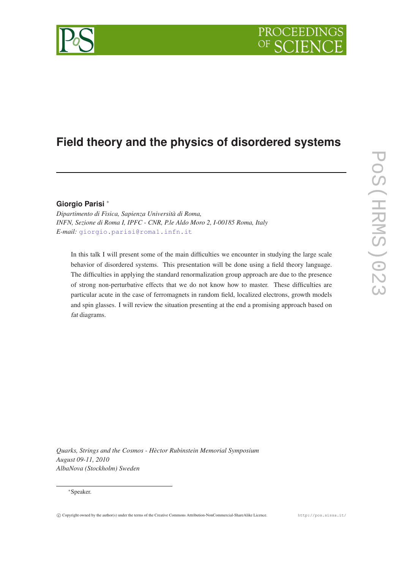# PROCEEDIN

# **Field theory and the physics of disordered systems**

## **Giorgio Parisi** <sup>∗</sup>

*Dipartimento di Fisica, Sapienza Università di Roma, INFN, Sezione di Roma I, IPFC - CNR, P.le Aldo Moro 2, I-00185 Roma, Italy E-mail:* [giorgio.parisi@roma1.infn.it](mailto:giorgio.parisi@roma1.infn.it)

In this talk I will present some of the main difficulties we encounter in studying the large scale behavior of disordered systems. This presentation will be done using a field theory language. The difficulties in applying the standard renormalization group approach are due to the presence of strong non-perturbative effects that we do not know how to master. These difficulties are particular acute in the case of ferromagnets in random field, localized electrons, growth models and spin glasses. I will review the situation presenting at the end a promising approach based on fat diagrams.

*Quarks, Strings and the Cosmos - Hèctor Rubinstein Memorial Symposium August 09-11, 2010 AlbaNova (Stockholm) Sweden*

### <sup>∗</sup>Speaker.

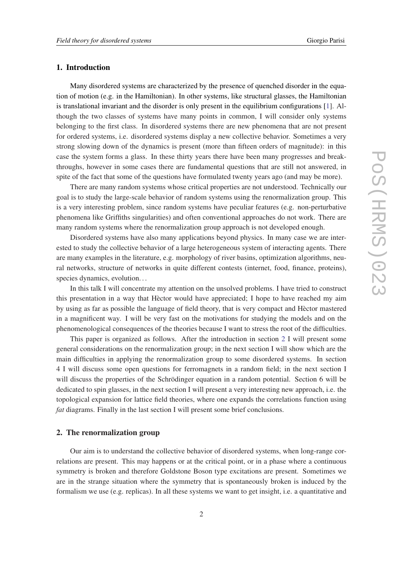#### 1. Introduction

Many disordered systems are characterized by the presence of quenched disorder in the equation of motion (e.g. in the Hamiltonian). In other systems, like structural glasses, the Hamiltonian is translational invariant and the disorder is only present in the equilibrium configurations [[1](#page-14-0)]. Although the two classes of systems have many points in common, I will consider only systems belonging to the first class. In disordered systems there are new phenomena that are not present for ordered systems, i.e. disordered systems display a new collective behavior. Sometimes a very strong slowing down of the dynamics is present (more than fifteen orders of magnitude): in this case the system forms a glass. In these thirty years there have been many progresses and breakthroughs, however in some cases there are fundamental questions that are still not answered, in spite of the fact that some of the questions have formulated twenty years ago (and may be more).

There are many random systems whose critical properties are not understood. Technically our goal is to study the large-scale behavior of random systems using the renormalization group. This is a very interesting problem, since random systems have peculiar features (e.g. non-perturbative phenomena like Griffiths singularities) and often conventional approaches do not work. There are many random systems where the renormalization group approach is not developed enough.

Disordered systems have also many applications beyond physics. In many case we are interested to study the collective behavior of a large heterogeneous system of interacting agents. There are many examples in the literature, e.g. morphology of river basins, optimization algorithms, neural networks, structure of networks in quite different contests (internet, food, finance, proteins), species dynamics, evolution. . .

In this talk I will concentrate my attention on the unsolved problems. I have tried to construct this presentation in a way that Hèctor would have appreciated; I hope to have reached my aim by using as far as possible the language of field theory, that is very compact and Hèctor mastered in a magnificent way. I will be very fast on the motivations for studying the models and on the phenomenological consequences of the theories because I want to stress the root of the difficulties.

This paper is organized as follows. After the introduction in section 2 I will present some general considerations on the renormalization group; in the next section I will show which are the main difficulties in applying the renormalization group to some disordered systems. In section 4 I will discuss some open questions for ferromagnets in a random field; in the next section I will discuss the properties of the Schrödinger equation in a random potential. Section 6 will be dedicated to spin glasses, in the next section I will present a very interesting new approach, i.e. the topological expansion for lattice field theories, where one expands the correlations function using *fat* diagrams. Finally in the last section I will present some brief conclusions.

### 2. The renormalization group

Our aim is to understand the collective behavior of disordered systems, when long-range correlations are present. This may happens or at the critical point, or in a phase where a continuous symmetry is broken and therefore Goldstone Boson type excitations are present. Sometimes we are in the strange situation where the symmetry that is spontaneously broken is induced by the formalism we use (e.g. replicas). In all these systems we want to get insight, i.e. a quantitative and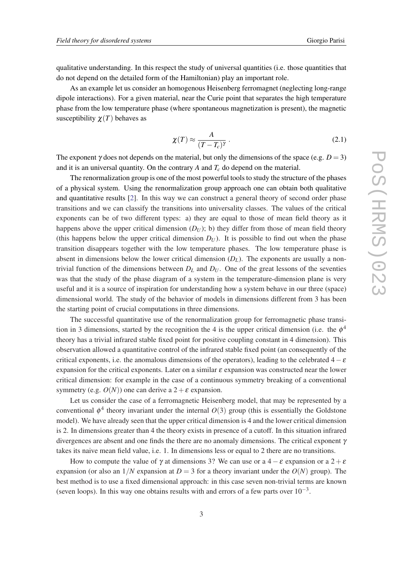qualitative understanding. In this respect the study of universal quantities (i.e. those quantities that do not depend on the detailed form of the Hamiltonian) play an important role.

As an example let us consider an homogenous Heisenberg ferromagnet (neglecting long-range dipole interactions). For a given material, near the Curie point that separates the high temperature phase from the low temperature phase (where spontaneous magnetization is present), the magnetic susceptibility  $\chi(T)$  behaves as

$$
\chi(T) \approx \frac{A}{(T - T_c)^{\gamma}} \,. \tag{2.1}
$$

The exponent  $\gamma$  does not depends on the material, but only the dimensions of the space (e.g.  $D = 3$ ) and it is an universal quantity. On the contrary *A* and *T<sup>c</sup>* do depend on the material.

The renormalization group is one of the most powerful tools to study the structure of the phases of a physical system. Using the renormalization group approach one can obtain both qualitative and quantitative results [\[2\]](#page-14-0). In this way we can construct a general theory of second order phase transitions and we can classify the transitions into universality classes. The values of the critical exponents can be of two different types: a) they are equal to those of mean field theory as it happens above the upper critical dimension  $(D_U)$ ; b) they differ from those of mean field theory (this happens below the upper critical dimension  $D_U$ ). It is possible to find out when the phase transition disappears together with the low temperature phases. The low temperature phase is absent in dimensions below the lower critical dimension  $(D_L)$ . The exponents are usually a nontrivial function of the dimensions between  $D_L$  and  $D_U$ . One of the great lessons of the seventies was that the study of the phase diagram of a system in the temperature-dimension plane is very useful and it is a source of inspiration for understanding how a system behave in our three (space) dimensional world. The study of the behavior of models in dimensions different from 3 has been the starting point of crucial computations in three dimensions.

The successful quantitative use of the renormalization group for ferromagnetic phase transition in 3 dimensions, started by the recognition the 4 is the upper critical dimension (i.e. the  $\phi^4$ theory has a trivial infrared stable fixed point for positive coupling constant in 4 dimension). This observation allowed a quantitative control of the infrared stable fixed point (an consequently of the critical exponents, i.e. the anomalous dimensions of the operators), leading to the celebrated  $4-\varepsilon$ expansion for the critical exponents. Later on a similar  $\varepsilon$  expansion was constructed near the lower critical dimension: for example in the case of a continuous symmetry breaking of a conventional symmetry (e.g.  $O(N)$ ) one can derive a  $2+\varepsilon$  expansion.

Let us consider the case of a ferromagnetic Heisenberg model, that may be represented by a conventional  $\phi^4$  theory invariant under the internal  $O(3)$  group (this is essentially the Goldstone model). We have already seen that the upper critical dimension is 4 and the lower critical dimension is 2. In dimensions greater than 4 the theory exists in presence of a cutoff. In this situation infrared divergences are absent and one finds the there are no anomaly dimensions. The critical exponent  $\gamma$ takes its naive mean field value, i.e. 1. In dimensions less or equal to 2 there are no transitions.

How to compute the value of  $\gamma$  at dimensions 3? We can use or a 4 –  $\varepsilon$  expansion or a 2 +  $\varepsilon$ expansion (or also an  $1/N$  expansion at  $D = 3$  for a theory invariant under the  $O(N)$  group). The best method is to use a fixed dimensional approach: in this case seven non-trivial terms are known (seven loops). In this way one obtains results with and errors of a few parts over  $10^{-3}$ .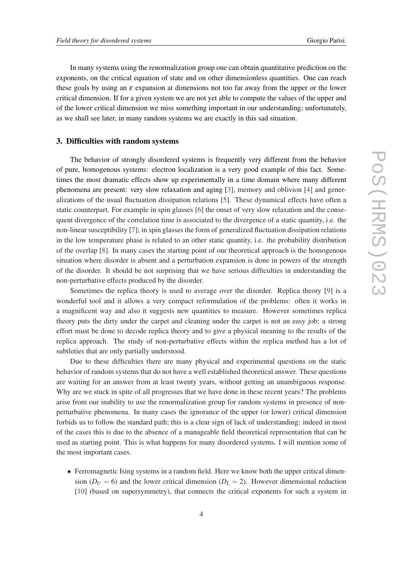In many systems using the renormalization group one can obtain quantitative prediction on the exponents, on the critical equation of state and on other dimensionless quantities. One can reach these goals by using an  $\varepsilon$  expansion at dimensions not too far away from the upper or the lower critical dimension. If for a given system we are not yet able to compute the values of the upper and of the lower critical dimension we miss something important in our understanding; unfortunately, as we shall see later, in many random systems we are exactly in this sad situation.

#### 3. Difficulties with random systems

The behavior of strongly disordered systems is frequently very different from the behavior of pure, homogenous systems: electron localization is a very good example of this fact. Sometimes the most dramatic effects show up experimentally in a time domain where many different phenomena are present: very slow relaxation and aging [[3](#page-14-0)], memory and oblivion [[4](#page-14-0)] and generalizations of the usual fluctuation dissipation relations [[5](#page-14-0)]. These dynamical effects have often a static counterpart. For example in spin glasses [[6](#page-14-0)] the onset of very slow relaxation and the consequent divergence of the correlation time is associated to the divergence of a static quantity, i.e. the non-linear susceptibility [\[7\]](#page-14-0); in spin glasses the form of generalized fluctuation dissipation relations in the low temperature phase is related to an other static quantity, i.e. the probability distribution of the overlap [[8\]](#page-14-0). In many cases the starting point of our theoretical approach is the homogenous situation where disorder is absent and a perturbation expansion is done in powers of the strength of the disorder. It should be not surprising that we have serious difficulties in understanding the non-perturbative effects produced by the disorder.

Sometimes the replica theory is used to average over the disorder. Replica theory [[9](#page-14-0)] is a wonderful tool and it allows a very compact reformulation of the problems: often it works in a magnificent way and also it suggests new quantities to measure. However sometimes replica theory puts the dirty under the carpet and cleaning under the carpet is not an easy job; a strong effort must be done to decode replica theory and to give a physical meaning to the results of the replica approach. The study of non-perturbative effects within the replica method has a lot of subtleties that are only partially understood.

Due to these difficulties there are many physical and experimental questions on the static behavior of random systems that do not have a well established theoretical answer. These questions are waiting for an answer from at least twenty years, without getting an unambiguous response. Why are we stuck in spite of all progresses that we have done in these recent years? The problems arise from our inability to use the renormalization group for random systems in presence of nonperturbative phenomena. In many cases the ignorance of the upper (or lower) critical dimension forbids us to follow the standard path; this is a clear sign of lack of understanding: indeed in most of the cases this is due to the absence of a manageable field theoretical representation that can be used as starting point. This is what happens for many disordered systems. I will mention some of the most important cases.

• Ferromagnetic Ising systems in a random field. Here we know both the upper critical dimension ( $D_U = 6$ ) and the lower critical dimension ( $D_L = 2$ ). However dimensional reduction [\[10\]](#page-14-0) (based on supersymmetry), that connects the critical exponents for such a system in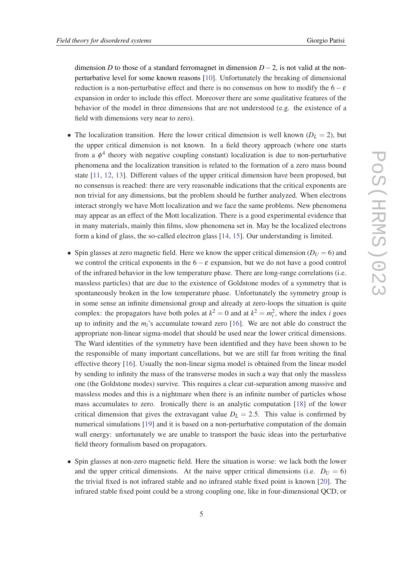dimension *D* to those of a standard ferromagnet in dimension *D*−2, is not valid at the nonperturbative level for some known reasons [\[10](#page-14-0)]. Unfortunately the breaking of dimensional reduction is a non-perturbative effect and there is no consensus on how to modify the  $6-\varepsilon$ expansion in order to include this effect. Moreover there are some qualitative features of the behavior of the model in three dimensions that are not understood (e.g. the existence of a field with dimensions very near to zero).

- The localization transition. Here the lower critical dimension is well known  $(D<sub>L</sub> = 2)$ , but the upper critical dimension is not known. In a field theory approach (where one starts from a  $\phi^4$  theory with negative coupling constant) localization is due to non-perturbative phenomena and the localization transition is related to the formation of a zero mass bound state [\[11](#page-14-0), [12,](#page-14-0) [13\]](#page-14-0). Different values of the upper critical dimension have been proposed, but no consensus is reached: there are very reasonable indications that the critical exponents are non trivial for any dimensions, but the problem should be further analyzed. When electrons interact strongly we have Mott localization and we face the same problems. New phenomena may appear as an effect of the Mott localization. There is a good experimental evidence that in many materials, mainly thin films, slow phenomena set in. May be the localized electrons form a kind of glass, the so-called electron glass [\[14](#page-14-0), [15\]](#page-14-0). Our understanding is limited.
- Spin glasses at zero magnetic field. Here we know the upper critical dimension  $(D_U = 6)$  and we control the critical exponents in the  $6-\varepsilon$  expansion, but we do not have a good control of the infrared behavior in the low temperature phase. There are long-range correlations (i.e. massless particles) that are due to the existence of Goldstone modes of a symmetry that is spontaneously broken in the low temperature phase. Unfortunately the symmetry group is in some sense an infinite dimensional group and already at zero-loops the situation is quite complex: the propagators have both poles at  $k^2 = 0$  and at  $k^2 = m_i^2$ , where the index *i* goes up to infinity and the *mi*'s accumulate toward zero [[16\]](#page-14-0). We are not able do construct the appropriate non-linear sigma-model that should be used near the lower critical dimensions. The Ward identities of the symmetry have been identified and they have been shown to be the responsible of many important cancellations, but we are still far from writing the final effective theory [\[16](#page-14-0)]. Usually the non-linear sigma model is obtained from the linear model by sending to infinity the mass of the transverse modes in such a way that only the massless one (the Goldstone modes) survive. This requires a clear cut-separation among massive and massless modes and this is a nightmare when there is an infinite number of particles whose mass accumulates to zero. Ironically there is an analytic computation [[18](#page-14-0)] of the lower critical dimension that gives the extravagant value  $D_L = 2.5$ . This value is confirmed by numerical simulations [[19\]](#page-14-0) and it is based on a non-perturbative computation of the domain wall energy: unfortunately we are unable to transport the basic ideas into the perturbative field theory formalism based on propagators.
- Spin glasses at non-zero magnetic field. Here the situation is worse: we lack both the lower and the upper critical dimensions. At the naive upper critical dimensions (i.e.  $D_U = 6$ ) the trivial fixed is not infrared stable and no infrared stable fixed point is known [[20\]](#page-15-0). The infrared stable fixed point could be a strong coupling one, like in four-dimensional QCD, or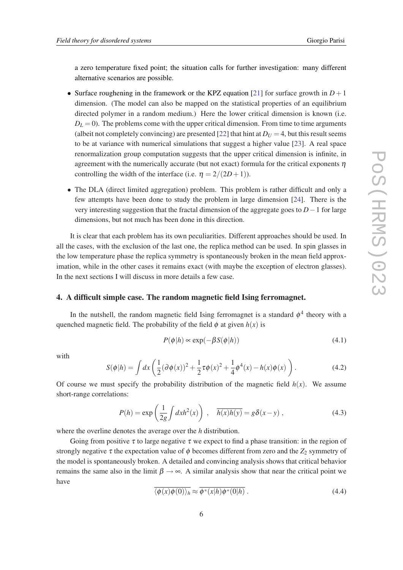a zero temperature fixed point; the situation calls for further investigation: many different alternative scenarios are possible.

- Surface roughening in the framework or the KPZ equation [\[21\]](#page-15-0) for surface growth in  $D+1$ dimension. (The model can also be mapped on the statistical properties of an equilibrium directed polymer in a random medium.) Here the lower critical dimension is known (i.e.  $D_L = 0$ ). The problems come with the upper critical dimension. From time to time arguments (albeit not completely convincing) are presented [[22\]](#page-15-0) that hint at  $D_U = 4$ , but this result seems to be at variance with numerical simulations that suggest a higher value [[23\]](#page-15-0). A real space renormalization group computation suggests that the upper critical dimension is infinite, in agreement with the numerically accurate (but not exact) formula for the critical exponents  $\eta$ controlling the width of the interface (i.e.  $\eta = 2/(2D+1)$ ).
- The DLA (direct limited aggregation) problem. This problem is rather difficult and only a few attempts have been done to study the problem in large dimension [[24\]](#page-15-0). There is the very interesting suggestion that the fractal dimension of the aggregate goes to *D*−1 for large dimensions, but not much has been done in this direction.

It is clear that each problem has its own peculiarities. Different approaches should be used. In all the cases, with the exclusion of the last one, the replica method can be used. In spin glasses in the low temperature phase the replica symmetry is spontaneously broken in the mean field approximation, while in the other cases it remains exact (with maybe the exception of electron glasses). In the next sections I will discuss in more details a few case.

#### 4. A difficult simple case. The random magnetic field Ising ferromagnet.

In the nutshell, the random magnetic field Ising ferromagnet is a standard  $\phi^4$  theory with a quenched magnetic field. The probability of the field  $\phi$  at given  $h(x)$  is

$$
P(\phi|h) \propto \exp(-\beta S(\phi|h))\tag{4.1}
$$

with

$$
S(\phi|h) = \int dx \left(\frac{1}{2}(\partial \phi(x))^2 + \frac{1}{2}\tau \phi(x)^2 + \frac{1}{4}\phi^4(x) - h(x)\phi(x)\right).
$$
 (4.2)

Of course we must specify the probability distribution of the magnetic field  $h(x)$ . We assume short-range correlations:

$$
P(h) = \exp\left(\frac{1}{2g} \int dx h^2(x)\right) , \quad \overline{h(x)h(y)} = g\delta(x-y) , \qquad (4.3)
$$

where the overline denotes the average over the *h* distribution.

Going from positive  $\tau$  to large negative  $\tau$  we expect to find a phase transition: in the region of strongly negative  $\tau$  the expectation value of  $\phi$  becomes different from zero and the  $Z_2$  symmetry of the model is spontaneously broken. A detailed and convincing analysis shows that critical behavior remains the same also in the limit  $\beta \to \infty$ . A similar analysis show that near the critical point we have

$$
\langle \phi(x)\phi(0)\rangle_h \approx \phi^*(x|h)\phi^*(0|h) . \tag{4.4}
$$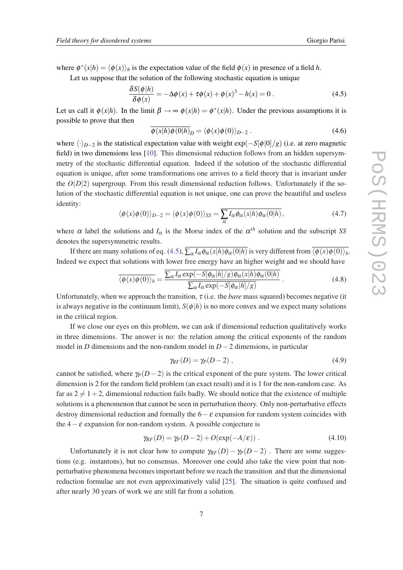where  $\phi^*(x|h) = \langle \phi(x) \rangle_h$  is the expectation value of the field  $\phi(x)$  in presence of a field *h*.

Let us suppose that the solution of the following stochastic equation is unique

$$
\frac{\delta S(\phi|h)}{\delta \phi(x)} = -\Delta \phi(x) + \tau \phi(x) + \phi(x)^3 - h(x) = 0.
$$
\n(4.5)

Let us call it  $\phi(x|h)$ . In the limit  $\beta \to \infty$   $\phi(x|h) = \phi^*(x|h)$ . Under the previous assumptions it is possible to prove that then

$$
\overline{\phi(x|h)\phi(0|h)}_D = \langle \phi(x)\phi(0)\rangle_{D-2} .
$$
\n(4.6)

where  $\langle \cdot \rangle_{D-2}$  is the statistical expectation value with weight exp( $-\frac{S[\phi|0]}{g}$ ) (i.e. at zero magnetic field) in two dimensions less [\[10\]](#page-14-0). This dimensional reduction follows from an hidden supersymmetry of the stochastic differential equation. Indeed if the solution of the stochastic differential equation is unique, after some transformations one arrives to a field theory that is invariant under the  $O(D|2)$  supergroup. From this result dimensional reduction follows. Unfortunately if the solution of the stochastic differential equation is not unique, one can prove the beautiful and useless identity:

$$
\langle \phi(x)\phi(0)\rangle_{D-2} = \langle \phi(x)\phi(0)\rangle_{SS} = \overline{\sum_{\alpha} I_{\alpha}\phi_{\alpha}(x|h)\phi_{\alpha}(0|h)},
$$
\n(4.7)

where  $\alpha$  label the solutions and  $I_{\alpha}$  is the Morse index of the  $\alpha^{th}$  solution and the subscript *SS* denotes the supersymmetric results.

If there are many solutions of eq. (4.5),  $\sum_{\alpha} I_{\alpha} \phi_{\alpha}(x|h) \phi_{\alpha}(0|h)$  is very different from  $\overline{\langle \phi(x) \phi(0) \rangle_h}$ . Indeed we expect that solutions with lower free energy have an higher weight and we should have

$$
\overline{\langle \phi(x)\phi(0)\rangle_h} = \frac{\overline{\sum_{\alpha} I_{\alpha} \exp(-S[\phi_{\alpha}|h]/g)\phi_{\alpha}(x|h)\phi_{\alpha}(0|h)}}{\overline{\sum_{\alpha} I_{\alpha} \exp(-S[\phi_{\alpha}|h]/g)}}.
$$
(4.8)

Unfortunately, when we approach the transition,  $\tau$  (i.e. the *bare* mass squared) becomes negative (it is always negative in the continuum limit),  $S(\phi|h)$  is no more convex and we expect many solutions in the critical region.

If we close our eyes on this problem, we can ask if dimensional reduction qualitatively works in three dimensions. The answer is no: the relation among the critical exponents of the random model in *D* dimensions and the non-random model in *D*−2 dimensions, in particular

$$
\gamma_{RF}(D) = \gamma_P(D-2) \,, \tag{4.9}
$$

cannot be satisfied, where  $\gamma_P(D-2)$  is the critical exponent of the pure system. The lower critical dimension is 2 for the random field problem (an exact result) and it is 1 for the non-random case. As far as  $2 \neq 1+2$ , dimensional reduction fails badly. We should notice that the existence of multiple solutions is a phenomenon that cannot be seen in perturbation theory. Only non-perturbative effects destroy dimensional reduction and formally the  $6-\varepsilon$  expansion for random system coincides with the  $4 - \varepsilon$  expansion for non-random system. A possible conjecture is

$$
\gamma_{RF}(D) = \gamma_P(D-2) + O(\exp(-A/\varepsilon)). \qquad (4.10)
$$

Unfortunately it is not clear how to compute  $\gamma_{RF}(D) - \gamma_P(D-2)$ . There are some suggestions (e.g. instantons), but no consensus. Moreover one could also take the view point that nonperturbative phenomena becomes important before we reach the transition and that the dimensional reduction formulae are not even approximatively valid [\[25](#page-15-0)]. The situation is quite confused and after nearly 30 years of work we are still far from a solution.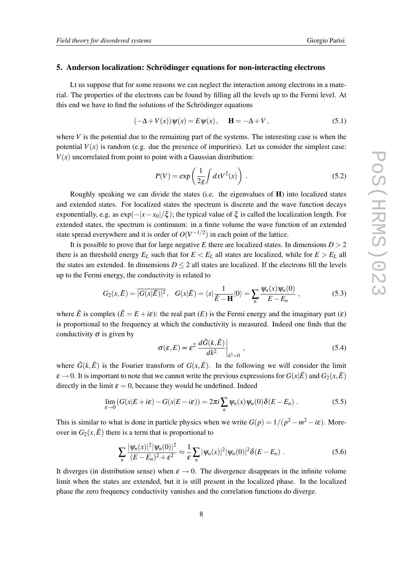#### 5. Anderson localization: Schrödinger equations for non-interacting electrons

Lt us suppose that for some reasons we can neglect the interaction among electrons in a material. The properties of the electrons can be found by filling all the levels up to the Fermi level. At this end we have to find the solutions of the Schrödinger equations

$$
(-\Delta + V(x))\psi(x) = E\psi(x), \quad \mathbf{H} = -\Delta + V,
$$
\n(5.1)

where  $V$  is the potential due to the remaining part of the systems. The interesting case is when the potential  $V(x)$  is random (e.g. due the presence of impurities). Let us consider the simplest case:  $V(x)$  uncorrelated from point to point with a Gaussian distribution:

$$
P(V) = \exp\left(\frac{1}{2g} \int dx V^2(x)\right) \,. \tag{5.2}
$$

Roughly speaking we can divide the states (i.e. the eigenvalues of H) into localized states and extended states. For localized states the spectrum is discrete and the wave function decays exponentially, e.g. as  $exp(-|x-x_0|/\xi)$ ; the typical value of  $\xi$  is called the localization length. For extended states, the spectrum is continuum: in a finite volume the wave function of an extended state spread everywhere and it is order of  $O(V^{-1/2})$  in each point of the lattice.

It is possible to prove that for large negative *E* there are localized states. In dimensions  $D > 2$ there is an threshold energy  $E_L$  such that for  $E < E_L$  all states are localized, while for  $E > E_L$  all the states are extended. In dimensions  $D \le 2$  all states are localized. If the electrons fill the levels up to the Fermi energy, the conductivity is related to

$$
G_2(x,\tilde{E}) = |\overline{G(x|\tilde{E})|^2}, \quad G(x|\tilde{E}) = \langle x|\frac{1}{\tilde{E}-H}|0\rangle = \sum_n \frac{\psi_n(x)\psi_n(0)}{E-E_n}, \qquad (5.3)
$$

where  $\tilde{E}$  is complex  $(\tilde{E} = E + i\varepsilon)$ : the real part  $(E)$  is the Fermi energy and the imaginary part  $(\varepsilon)$ is proportional to the frequency at which the conductivity is measured. Indeed one finds that the conductivity  $\sigma$  is given by

$$
\sigma(\varepsilon, E) \propto \varepsilon^2 \left. \frac{d\tilde{G}(k, \tilde{E})}{dk^2} \right|_{k^2 = 0},
$$
\n(5.4)

where  $\tilde{G}(k,\tilde{E})$  is the Fourier transform of  $G(x,\tilde{E})$ . In the following we will consider the limit  $\varepsilon \to 0$ . It is important to note that we cannot write the previous expressions for  $G(x|\tilde{E})$  and  $G_2(x,\tilde{E})$ directly in the limit  $\varepsilon = 0$ , because they would be undefined. Indeed

$$
\lim_{\varepsilon \to 0} \left( G(x|E + i\varepsilon) - G(x|E - i\varepsilon) \right) = 2\pi i \sum_{n} \psi_n(x) \psi_n(0) \delta(E - E_n) . \tag{5.5}
$$

This is similar to what is done in particle physics when we write  $G(p) = 1/(p^2 - m^2 - i\varepsilon)$ . Moreover in  $G_2(x,\tilde{E})$  there is a term that is proportional to

$$
\sum_{n} \frac{|\psi_n(x)|^2 |\psi_n(0)|^2}{(E - E_n)^2 + \varepsilon^2} \approx \frac{1}{\varepsilon} \sum_{n} |\psi_n(x)|^2 |\psi_n(0)|^2 \delta(E - E_n) \,. \tag{5.6}
$$

It diverges (in distribution sense) when  $\varepsilon \to 0$ . The divergence disappears in the infinite volume limit when the states are extended, but it is still present in the localized phase. In the localized phase the zero frequency conductivity vanishes and the correlation functions do diverge.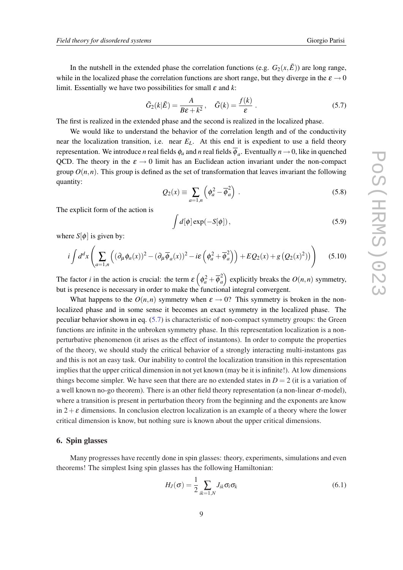In the nutshell in the extended phase the correlation functions (e.g.  $G_2(x,\tilde{E})$ ) are long range, while in the localized phase the correlation functions are short range, but they diverge in the  $\varepsilon \to 0$ limit. Essentially we have two possibilities for small  $\varepsilon$  and  $k$ :

$$
\tilde{G}_2(k|\tilde{E}) = \frac{A}{B\epsilon + k^2}, \quad \tilde{G}(k) = \frac{f(k)}{\epsilon}.
$$
\n(5.7)

The first is realized in the extended phase and the second is realized in the localized phase.

We would like to understand the behavior of the correlation length and of the conductivity near the localization transition, i.e. near *EL*. At this end it is expedient to use a field theory representation. We introduce *n* real fields  $\phi_a$  and *n* real fields  $\overline{\phi}_a$ . Eventually  $n \to 0$ , like in quenched QCD. The theory in the  $\varepsilon \to 0$  limit has an Euclidean action invariant under the non-compact group  $O(n, n)$ . This group is defined as the set of transformation that leaves invariant the following quantity:

$$
Q_2(x) \equiv \sum_{a=1,n} \left( \phi_a^2 - \overline{\phi}_a^2 \right) \,. \tag{5.8}
$$

The explicit form of the action is

$$
\int d[\phi] \exp(-S[\phi]),\tag{5.9}
$$

where  $S[\phi]$  is given by:

$$
i\int d^d x \left( \sum_{a=1,n} \left( (\partial_\mu \phi_a(x))^2 - (\partial_\mu \overline{\phi}_a(x))^2 - i \varepsilon \left( \phi_a^2 + \overline{\phi}_a^2 \right) \right) + E Q_2(x) + g \left( Q_2(x)^2 \right) \right) \tag{5.10}
$$

The factor *i* in the action is crucial: the term  $\varepsilon \left( \phi_a^2 + \overline{\phi}_a^2 \right)$  $\binom{2}{a}$  explicitly breaks the  $O(n, n)$  symmetry, but is presence is necessary in order to make the functional integral convergent.

What happens to the  $O(n,n)$  symmetry when  $\varepsilon \to 0$ ? This symmetry is broken in the nonlocalized phase and in some sense it becomes an exact symmetry in the localized phase. The peculiar behavior shown in eq. (5.7) is characteristic of non-compact symmetry groups: the Green functions are infinite in the unbroken symmetry phase. In this representation localization is a nonperturbative phenomenon (it arises as the effect of instantons). In order to compute the properties of the theory, we should study the critical behavior of a strongly interacting multi-instantons gas and this is not an easy task. Our inability to control the localization transition in this representation implies that the upper critical dimension in not yet known (may be it is infinite!). At low dimensions things become simpler. We have seen that there are no extended states in  $D = 2$  (it is a variation of a well known no-go theorem). There is an other field theory representation (a non-linear σ-model), where a transition is present in perturbation theory from the beginning and the exponents are know in  $2+\varepsilon$  dimensions. In conclusion electron localization is an example of a theory where the lower critical dimension is know, but nothing sure is known about the upper critical dimensions.

#### 6. Spin glasses

Many progresses have recently done in spin glasses: theory, experiments, simulations and even theorems! The simplest Ising spin glasses has the following Hamiltonian:

$$
H_J(\sigma) = \frac{1}{2} \sum_{ik=1,N} J_{ik} \sigma_i \sigma_k \tag{6.1}
$$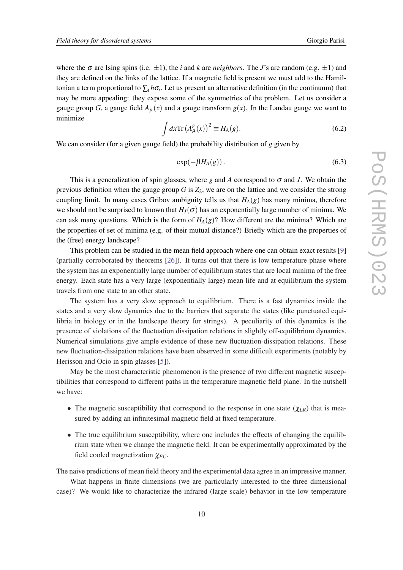where the  $\sigma$  are Ising spins (i.e.  $\pm 1$ ), the *i* and *k* are *neighbors*. The *J*'s are random (e.g.  $\pm 1$ ) and they are defined on the links of the lattice. If a magnetic field is present we must add to the Hamiltonian a term proportional to  $\sum_i h\sigma_i$ . Let us present an alternative definition (in the continuum) that may be more appealing: they expose some of the symmetries of the problem. Let us consider a gauge group *G*, a gauge field  $A<sub>u</sub>(x)$  and a gauge transform  $g(x)$ . In the Landau gauge we want to minimize

$$
\int dx \text{Tr} \left( A^g_{\mu}(x) \right)^2 \equiv H_A(g). \tag{6.2}
$$

We can consider (for a given gauge field) the probability distribution of *g* given by

$$
\exp(-\beta H_A(g))\,. \tag{6.3}
$$

This is a generalization of spin glasses, where *g* and *A* correspond to  $\sigma$  and *J*. We obtain the previous definition when the gauge group  $G$  is  $Z_2$ , we are on the lattice and we consider the strong coupling limit. In many cases Gribov ambiguity tells us that  $H_A(g)$  has many minima, therefore we should not be surprised to known that  $H<sub>J</sub>(\sigma)$  has an exponentially large number of minima. We can ask many questions. Which is the form of  $H_A(g)$ ? How different are the minima? Which are the properties of set of minima (e.g. of their mutual distance?) Briefly which are the properties of the (free) energy landscape?

This problem can be studied in the mean field approach where one can obtain exact results [[9](#page-14-0)] (partially corroborated by theorems [\[26](#page-15-0)]). It turns out that there is low temperature phase where the system has an exponentially large number of equilibrium states that are local minima of the free energy. Each state has a very large (exponentially large) mean life and at equilibrium the system travels from one state to an other state.

The system has a very slow approach to equilibrium. There is a fast dynamics inside the states and a very slow dynamics due to the barriers that separate the states (like punctuated equilibria in biology or in the landscape theory for strings). A peculiarity of this dynamics is the presence of violations of the fluctuation dissipation relations in slightly off-equilibrium dynamics. Numerical simulations give ample evidence of these new fluctuation-dissipation relations. These new fluctuation-dissipation relations have been observed in some difficult experiments (notably by Herisson and Ocio in spin glasses [[5](#page-14-0)]).

May be the most characteristic phenomenon is the presence of two different magnetic susceptibilities that correspond to different paths in the temperature magnetic field plane. In the nutshell we have:

- The magnetic susceptibility that correspond to the response in one state  $(\chi_{LR})$  that is measured by adding an infinitesimal magnetic field at fixed temperature.
- The true equilibrium susceptibility, where one includes the effects of changing the equilibrium state when we change the magnetic field. It can be experimentally approximated by the field cooled magnetization  $χ_{FC}$ .

The naive predictions of mean field theory and the experimental data agree in an impressive manner. What happens in finite dimensions (we are particularly interested to the three dimensional case)? We would like to characterize the infrared (large scale) behavior in the low temperature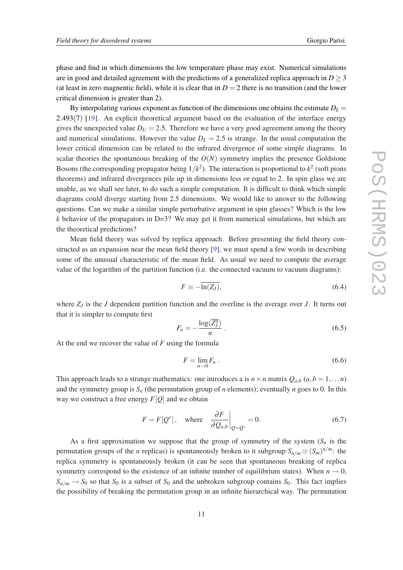phase and find in which dimensions the low temperature phase may exist. Numerical simulations are in good and detailed agreement with the predictions of a generalized replica approach in  $D \geq 3$ (at least in zero magnentic field), while it is clear that in  $D = 2$  there is no transition (and the lower critical dimension is greater than 2).

By interpolating various exponent as function of the dimensions one obtains the estimate  $D_L$  = 2.493(7) [[19](#page-14-0)]. An explicit theoretical argument based on the evaluation of the interface energy gives the unexpected value  $D_U = 2.5$ . Therefore we have a very good agreement among the theory and numerical simulations. However the value  $D<sub>L</sub> = 2.5$  is strange. In the usual computation the lower critical dimension can be related to the infrared divergence of some simple diagrams. In scalar theories the spontaneous breaking of the  $O(N)$  symmetry implies the presence Goldstone Bosons (the corresponding propagator being  $1/k<sup>2</sup>$ ). The interaction is proportional to  $k<sup>2</sup>$  (soft pions theorems) and infrared divergences pile up in dimensions less or equal to 2. In spin glass we are unable, as we shall see later, to do such a simple computation. It is difficult to think which simple diagrams could diverge starting from 2.5 dimensions. We would like to answer to the following questions. Can we make a similar simple perturbative argument in spin glasses? Which is the low  $k$  behavior of the propagators in D=3? We may get it from numerical simulations, but which are the theoretical predictions?

Mean field theory was solved by replica approach. Before presenting the field theory constructed as an expansion near the mean field theory [\[9\]](#page-14-0), we must spend a few words in describing some of the unusual characteristic of the mean field. As usual we need to compute the average value of the logarithm of the partition function (i.e. the connected vacuum to vacuum diagrams):

$$
F \equiv -\overline{\ln(Z_J)},\tag{6.4}
$$

where *Z<sup>J</sup>* is the *J* dependent partition function and the overline is the average over *J*. It turns out that it is simpler to compute first

$$
F_n = -\frac{\log(\overline{Z_j^n})}{n} \ . \tag{6.5}
$$

At the end we recover the value of *F* using the formula

$$
F = \lim_{n \to 0} F_n \,. \tag{6.6}
$$

This approach leads to a strange mathematics: one introduces a is  $n \times n$  matrix  $Q_{a,b}$  ( $a,b=1,...n$ ) and the symmetry group is  $S_n$  (the permutation group of *n* elements); eventually *n* goes to 0. In this way we construct a free energy  $F[Q]$  and we obtain

$$
F = F[Q^*], \quad \text{where} \quad \frac{\partial F}{\partial Q_{a,b}}\Big|_{Q=Q^*} = 0. \tag{6.7}
$$

As a first approximation we suppose that the group of symmetry of the system  $(S_n$  is the permutation groups of the *n* replicas) is spontaneously broken to it subgroup  $S_{n/m} \otimes (S_m)^{n/m}$ : the replica symmetry is spontaneously broken (it can be seen that spontaneous breaking of replica symmetry correspond to the existence of an infinite number of equilibrium states). When  $n \to 0$ ,  $S_{n/m} \rightarrow S_0$  so that  $S_0$  is a subset of  $S_0$  and the unbroken subgroup contains  $S_0$ . This fact implies the possibility of breaking the permutation group in an infinite hierarchical way. The permutation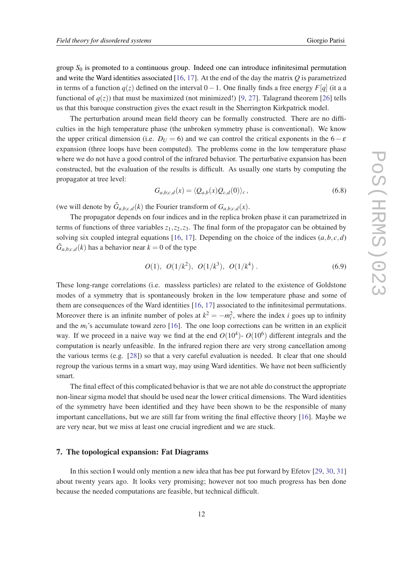group  $S_0$  is promoted to a continuous group. Indeed one can introduce infinitesimal permutation and write the Ward identities associated [\[16](#page-14-0), [17](#page-14-0)]. At the end of the day the matrix *Q* is parametrized in terms of a function  $q(z)$  defined on the interval  $0-1$ . One finally finds a free energy *F*[*q*] (it a a functional of  $q(z)$ ) that must be maximized (not minimized!) [\[9,](#page-14-0) [27](#page-15-0)]. Talagrand theorem [\[26](#page-15-0)] tells us that this baroque construction gives the exact result in the Sherrington Kirkpatrick model.

The perturbation around mean field theory can be formally constructed. There are no difficulties in the high temperature phase (the unbroken symmetry phase is conventional). We know the upper critical dimension (i.e.  $D_U = 6$ ) and we can control the critical exponents in the  $6 - \varepsilon$ expansion (three loops have been computed). The problems come in the low temperature phase where we do not have a good control of the infrared behavior. The perturbative expansion has been constructed, but the evaluation of the results is difficult. As usually one starts by computing the propagator at tree level:

$$
G_{a,b;c,d}(x) = \langle Q_{a,b}(x)Q_{c,d}(0)\rangle_c, \qquad (6.8)
$$

(we will denote by  $\tilde{G}_{a,b;c,d}(k)$  the Fourier transform of  $G_{a,b;c,d}(x)$ .

The propagator depends on four indices and in the replica broken phase it can parametrized in terms of functions of three variables  $z_1$ ,  $z_2$ ,  $z_3$ . The final form of the propagator can be obtained by solving six coupled integral equations [[16,](#page-14-0) [17](#page-14-0)]. Depending on the choice of the indices  $(a, b, c, d)$  $\tilde{G}_{a,b;c,d}(k)$  has a behavior near  $k = 0$  of the type

$$
O(1), O(1/k2), O(1/k3), O(1/k4).
$$
 (6.9)

These long-range correlations (i.e. massless particles) are related to the existence of Goldstone modes of a symmetry that is spontaneously broken in the low temperature phase and some of them are consequences of the Ward identities [[16,](#page-14-0) [17\]](#page-14-0) associated to the infinitesimal permutations. Moreover there is an infinite number of poles at  $k^2 = -m_i^2$ , where the index *i* goes up to infinity and the *mi*'s accumulate toward zero [[16\]](#page-14-0). The one loop corrections can be written in an explicit way. If we proceed in a naive way we find at the end  $O(10^4)$ -  $O(10^6)$  different integrals and the computation is nearly unfeasible. In the infrared region there are very strong cancellation among the various terms (e.g. [[28\]](#page-15-0)) so that a very careful evaluation is needed. It clear that one should regroup the various terms in a smart way, may using Ward identities. We have not been sufficiently smart.

The final effect of this complicated behavior is that we are not able do construct the appropriate non-linear sigma model that should be used near the lower critical dimensions. The Ward identities of the symmetry have been identified and they have been shown to be the responsible of many important cancellations, but we are still far from writing the final effective theory [\[16\]](#page-14-0). Maybe we are very near, but we miss at least one crucial ingredient and we are stuck.

#### 7. The topological expansion: Fat Diagrams

In this section I would only mention a new idea that has bee put forward by Efetov [\[29](#page-15-0), [30](#page-15-0), [31](#page-15-0)] about twenty years ago. It looks very promising; however not too much progress has ben done because the needed computations are feasible, but technical difficult.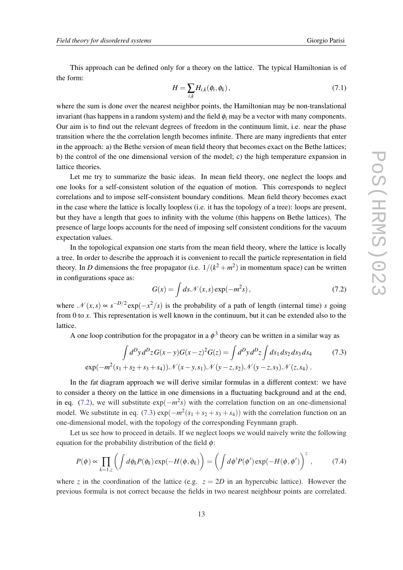This approach can be defined only for a theory on the lattice. The typical Hamiltonian is of the form:

$$
H = \sum_{i,k} H_{i,k}(\phi_i, \phi_k), \qquad (7.1)
$$

where the sum is done over the nearest neighbor points, the Hamiltonian may be non-translational invariant (has happens in a random system) and the field  $\phi_i$  may be a vector with many components. Our aim is to find out the relevant degrees of freedom in the continuum limit, i.e. near the phase transition where the the correlation length becomes infinite. There are many ingredients that enter in the approach: a) the Bethe version of mean field theory that becomes exact on the Bethe lattices; b) the control of the one dimensional version of the model; c) the high temperature expansion in lattice theories.

Let me try to summarize the basic ideas. In mean field theory, one neglect the loops and one looks for a self-consistent solution of the equation of motion. This corresponds to neglect correlations and to impose self-consistent boundary conditions. Mean field theory becomes exact in the case where the lattice is locally loopless (i.e. it has the topology of a tree): loops are present, but they have a length that goes to infinity with the volume (this happens on Bethe lattices). The presence of large loops accounts for the need of imposing self consistent conditions for the vacuum expectation values.

In the topological expansion one starts from the mean field theory, where the lattice is locally a tree. In order to describe the approach it is convenient to recall the particle representation in field theory. In *D* dimensions the free propagator (i.e.  $1/(k^2 + m^2)$  in momentum space) can be written in configurations space as:

$$
G(x) = \int ds \mathcal{N}(x, s) \exp(-m^2 s), \qquad (7.2)
$$

where  $\mathcal{N}(x,s) \propto s^{-D/2} \exp(-x^2/s)$  is the probability of a path of length (internal time) *s* going from 0 to *x*. This representation is well known in the continuum, but it can be extended also to the lattice.

A one loop contribution for the propagator in a  $\phi^3$  theory can be written in a similar way as

$$
\int d^D y d^D z G(x-y) G(x-z)^2 G(z) = \int d^D y d^D z \int ds_1 ds_2 ds_3 ds_4 \tag{7.3}
$$
  
\n
$$
\exp(-m^2(s_1+s_2+s_3+s_4)) \mathcal{N}(x-y,s_1) \mathcal{N}(y-z,s_2) \mathcal{N}(y-z,s_3) \mathcal{N}(z,s_4) .
$$

In the fat diagram approach we will derive similar formulas in a different context: we have to consider a theory on the lattice in one dimensions in a fluctuating background and at the end, in eq. (7.2), we will substitute  $exp(-m^2s)$  with the correlation function on an one-dimensional model. We substitute in eq. (7.3)  $\exp(-m^2(s_1 + s_2 + s_3 + s_4))$  with the correlation function on an one-dimensional model, with the topology of the corresponding Feynmann graph.

Let us see how to proceed in details. If we neglect loops we would naively write the following equation for the probability distribution of the field  $\phi$ :

$$
P(\phi) \propto \prod_{k=1,z} \left( \int d\phi_k P(\phi_k) \exp(-H(\phi,\phi_k) \right) = \left( \int d\phi' P(\phi') \exp(-H(\phi,\phi') \right)^z, \quad (7.4)
$$

where *z* in the coordination of the lattice (e.g.  $z = 2D$  in an hypercubic lattice). However the previous formula is not correct because the fields in two nearest neighbour points are correlated.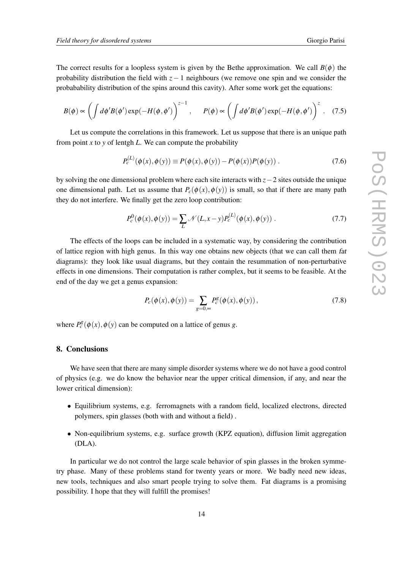The correct results for a loopless system is given by the Bethe approximation. We call  $B(\phi)$  the probability distribution the field with  $z - 1$  neighbours (we remove one spin and we consider the probabability distribution of the spins around this cavity). After some work get the equations:

$$
B(\phi) \propto \left( \int d\phi' B(\phi') \exp(-H(\phi, \phi') \right)^{z-1}, \quad P(\phi) \propto \left( \int d\phi' B(\phi') \exp(-H(\phi, \phi') \right)^{z}.
$$
 (7.5)

Let us compute the correlations in this framework. Let us suppose that there is an unique path from point  $x$  to  $y$  of lentgh  $L$ . We can compute the probability

$$
P_c^{(L)}(\phi(x), \phi(y)) \equiv P(\phi(x), \phi(y)) - P(\phi(x))P(\phi(y)) .
$$
 (7.6)

by solving the one dimensional problem where each site interacts with *z*−2 sites outside the unique one dimensional path. Let us assume that  $P_c(\phi(x), \phi(y))$  is small, so that if there are many path they do not interfere. We finally get the zero loop contribution:

$$
P_c^0(\phi(x), \phi(y)) = \sum_{L} \mathcal{N}(L, x - y) P_c^{(L)}(\phi(x), \phi(y)) .
$$
 (7.7)

The effects of the loops can be included in a systematic way, by considering the contribution of lattice region with high genus. In this way one obtains new objects (that we can call them fat diagrams): they look like usual diagrams, but they contain the resummation of non-perturbative effects in one dimensions. Their computation is rather complex, but it seems to be feasible. At the end of the day we get a genus expansion:

$$
P_c(\phi(x), \phi(y)) = \sum_{g=0, \infty} P_c^g(\phi(x), \phi(y)),
$$
\n(7.8)

where  $P_c^g(\phi(x), \phi(y))$  can be computed on a lattice of genus *g*.

#### 8. Conclusions

We have seen that there are many simple disorder systems where we do not have a good control of physics (e.g. we do know the behavior near the upper critical dimension, if any, and near the lower critical dimension):

- Equilibrium systems, e.g. ferromagnets with a random field, localized electrons, directed polymers, spin glasses (both with and without a field) .
- Non-equilibrium systems, e.g. surface growth (KPZ equation), diffusion limit aggregation (DLA).

In particular we do not control the large scale behavior of spin glasses in the broken symmetry phase. Many of these problems stand for twenty years or more. We badly need new ideas, new tools, techniques and also smart people trying to solve them. Fat diagrams is a promising possibility. I hope that they will fulfill the promises!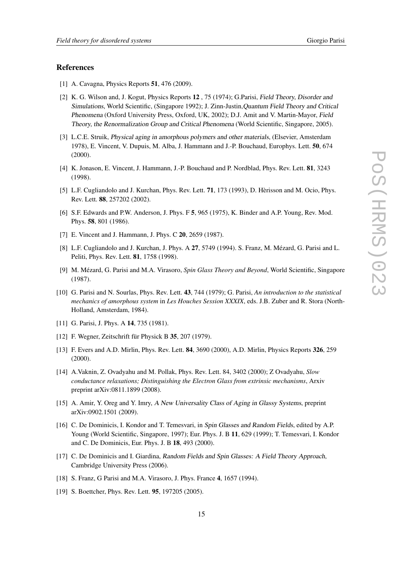#### <span id="page-14-0"></span>References

- [1] A. Cavagna, Physics Reports 51, 476 (2009).
- [2] K. G. Wilson and, J. Kogut, Physics Reports 12 , 75 (1974); G.Parisi, Field Theory, Disorder and Simulations, World Scientific, (Singapore 1992); J. Zinn-Justin,Quantum Field Theory and Critical Phenomena (Oxford University Press, Oxford, UK, 2002); D.J. Amit and V. Martin-Mayor, Field Theory, the Renormalization Group and Critical Phenomena (World Scientific, Singapore, 2005).
- [3] L.C.E. Struik, Physical aging in amorphous polymers and other materials, (Elsevier, Amsterdam 1978), E. Vincent, V. Dupuis, M. Alba, J. Hammann and J.-P. Bouchaud, Europhys. Lett. 50, 674 (2000).
- [4] K. Jonason, E. Vincent, J. Hammann, J.-P. Bouchaud and P. Nordblad, Phys. Rev. Lett. 81, 3243 (1998).
- [5] L.F. Cugliandolo and J. Kurchan, Phys. Rev. Lett. 71, 173 (1993), D. Hèrisson and M. Ocio, Phys. Rev. Lett. 88, 257202 (2002).
- [6] S.F. Edwards and P.W. Anderson, J. Phys. F 5, 965 (1975), K. Binder and A.P. Young, Rev. Mod. Phys. 58, 801 (1986).
- [7] E. Vincent and J. Hammann, J. Phys. C **20**, 2659 (1987).
- [8] L.F. Cugliandolo and J. Kurchan, J. Phys. A 27, 5749 (1994). S. Franz, M. Mézard, G. Parisi and L. Peliti, Phys. Rev. Lett. 81, 1758 (1998).
- [9] M. Mézard, G. Parisi and M.A. Virasoro, *Spin Glass Theory and Beyond*, World Scientific, Singapore (1987).
- [10] G. Parisi and N. Sourlas, Phys. Rev. Lett. 43, 744 (1979); G. Parisi, *An introduction to the statistical mechanics of amorphous system* in *Les Houches Session XXXIX*, eds. J.B. Zuber and R. Stora (North-Holland, Amsterdam, 1984).
- [11] G. Parisi, J. Phys. A **14**, 735 (1981).
- [12] F. Wegner, Zeitschrift für Physick B 35, 207 (1979).
- [13] F. Evers and A.D. Mirlin, Phys. Rev. Lett. 84, 3690 (2000), A.D. Mirlin, Physics Reports 326, 259 (2000).
- [14] A.Vaknin, Z. Ovadyahu and M. Pollak, Phys. Rev. Lett. 84, 3402 (2000); Z Ovadyahu, *Slow conductance relaxations; Distinguishing the Electron Glass from extrinsic mechanisms*, Arxiv preprint arXiv:0811.1899 (2008).
- [15] A. Amir, Y. Oreg and Y. Imry, A New Universality Class of Aging in Glassy Systems, preprint arXiv:0902.1501 (2009).
- [16] C. De Dominicis, I. Kondor and T. Temesvari, in Spin Glasses and Random Fields, edited by A.P. Young (World Scientific, Singapore, 1997); Eur. Phys. J. B 11, 629 (1999); T. Temesvari, I. Kondor and C. De Dominicis, Eur. Phys. J. B 18, 493 (2000).
- [17] C. De Dominicis and I. Giardina, Random Fields and Spin Glasses: A Field Theory Approach, Cambridge University Press (2006).
- [18] S. Franz, G Parisi and M.A. Virasoro, J. Phys. France 4, 1657 (1994).
- [19] S. Boettcher, Phys. Rev. Lett. **95**, 197205 (2005).